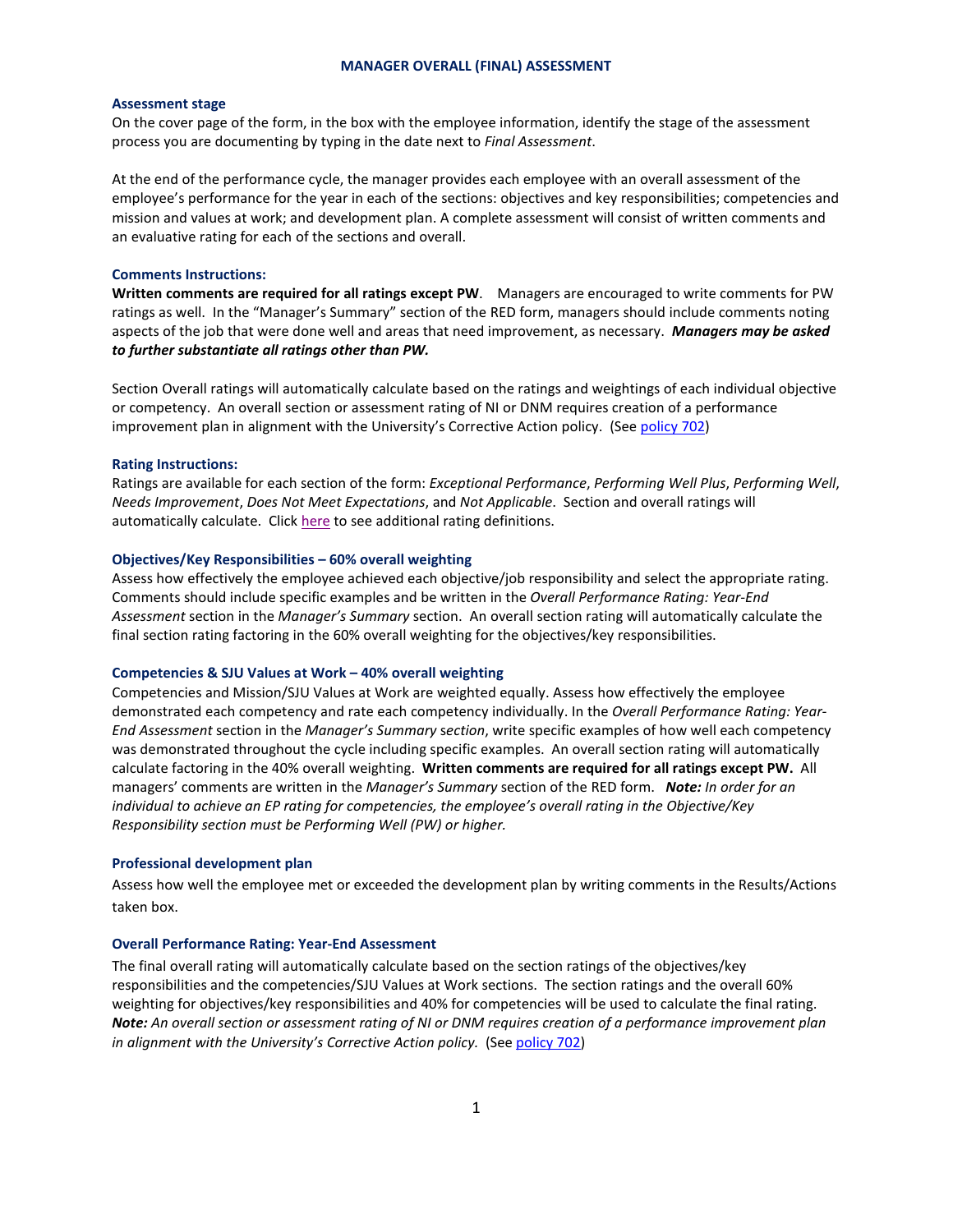### **MANAGER OVERALL (FINAL) ASSESSMENT**

#### **Assessment stage**

On the cover page of the form, in the box with the employee information, identify the stage of the assessment process you are documenting by typing in the date next to *Final Assessment*.

At the end of the performance cycle, the manager provides each employee with an overall assessment of the employee's performance for the year in each of the sections: objectives and key responsibilities; competencies and mission and values at work; and development plan. A complete assessment will consist of written comments and an evaluative rating for each of the sections and overall.

### **Comments Instructions:**

**Written comments are required for all ratings except PW**. Managers are encouraged to write comments for PW ratings as well. In the "Manager's Summary" section of the RED form, managers should include comments noting aspects of the job that were done well and areas that need improvement, as necessary. *Managers may be asked to further substantiate all ratings other than PW.*

Section Overall ratings will automatically calculate based on the ratings and weightings of each individual objective or competency. An overall section or assessment rating of NI or DNM requires creation of a performance improvement plan in alignment with the University's Corrective Action policy. (Se[e policy 702\)](http://www.stjohns.edu/about/administrative-offices/human-resources/hr-policy-manual/policy-702-corrective-action)

#### **Rating Instructions:**

Ratings are available for each section of the form: *Exceptional Performance*, *Performing Well Plus*, *Performing Well*, *Needs Improvement*, *Does Not Meet Expectations*, and *Not Applicable*. Section and overall ratings will automatically calculate. Clic[k here](http://www.stjohns.edu/sites/default/files/documents/hr/170505_rating_scale_and_definitions.pdf) to see additional rating definitions.

### **Objectives/Key Responsibilities – 60% overall weighting**

Assess how effectively the employee achieved each objective/job responsibility and select the appropriate rating. Comments should include specific examples and be written in the *Overall Performance Rating: Year-End Assessment* section in the *Manager's Summary* section. An overall section rating will automatically calculate the final section rating factoring in the 60% overall weighting for the objectives/key responsibilities.

#### **Competencies & SJU Values at Work – 40% overall weighting**

Competencies and Mission/SJU Values at Work are weighted equally. Assess how effectively the employee demonstrated each competency and rate each competency individually. In the *Overall Performance Rating: Year-End Assessment* section in the *Manager's Summary* s*ection*, write specific examples of how well each competency was demonstrated throughout the cycle including specific examples. An overall section rating will automatically calculate factoring in the 40% overall weighting. **Written comments are required for all ratings except PW.** All managers' comments are written in the *Manager's Summary* section of the RED form. *Note: In order for an individual to achieve an EP rating for competencies, the employee's overall rating in the Objective/Key Responsibility section must be Performing Well (PW) or higher.* 

## **Professional development plan**

Assess how well the employee met or exceeded the development plan by writing comments in the Results/Actions taken box.

#### **Overall Performance Rating: Year-End Assessment**

The final overall rating will automatically calculate based on the section ratings of the objectives/key responsibilities and the competencies/SJU Values at Work sections. The section ratings and the overall 60% weighting for objectives/key responsibilities and 40% for competencies will be used to calculate the final rating. *Note: An overall section or assessment rating of NI or DNM requires creation of a performance improvement plan in alignment with the University's Corrective Action policy.* (See [policy 702\)](http://www.stjohns.edu/about/administrative-offices/human-resources/hr-policy-manual/policy-702-corrective-action)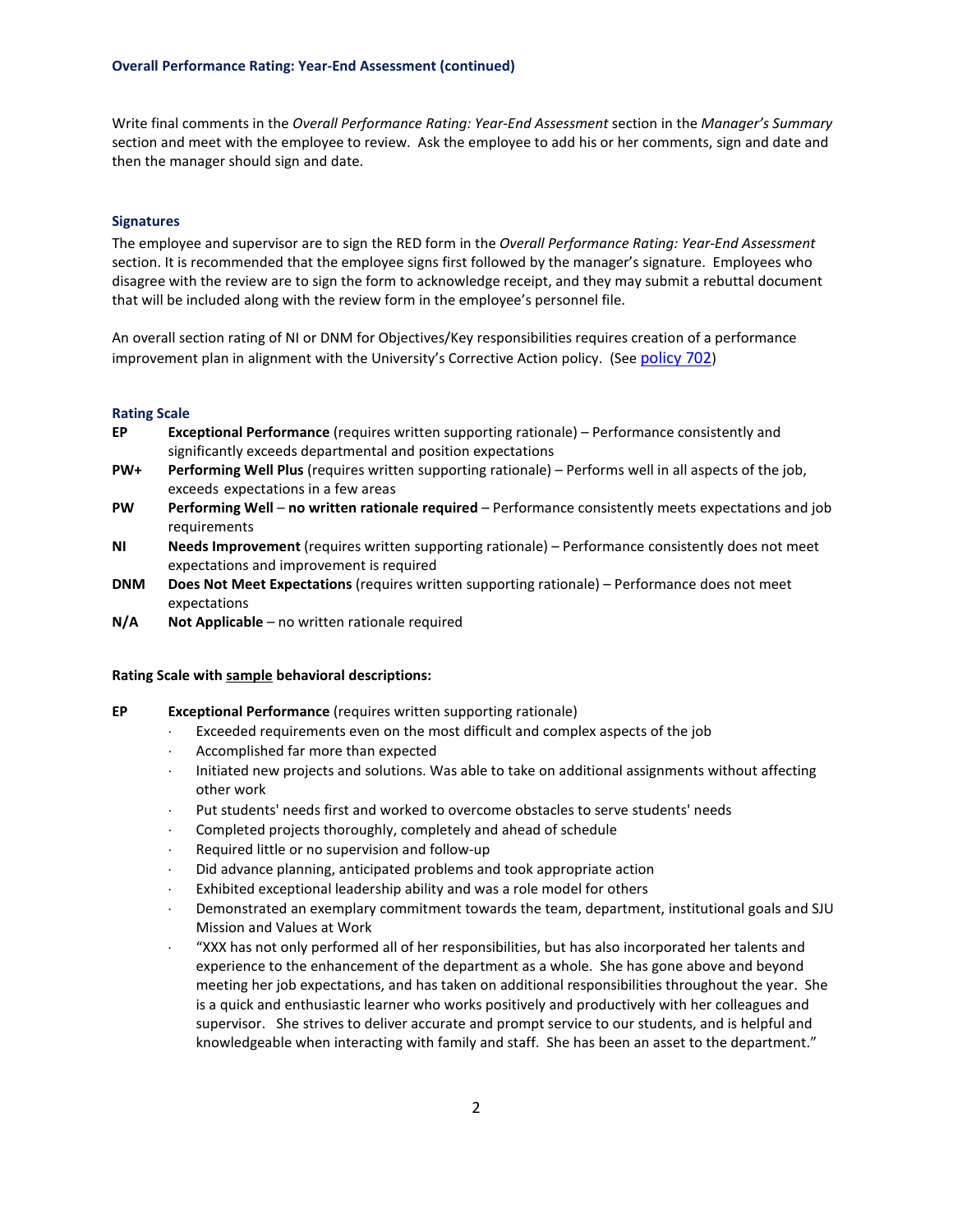Write final comments in the *Overall Performance Rating: Year-End Assessment* section in the *Manager's Summary* section and meet with the employee to review. Ask the employee to add his or her comments, sign and date and then the manager should sign and date.

# **Signatures**

The employee and supervisor are to sign the RED form in the *Overall Performance Rating: Year-End Assessment* section. It is recommended that the employee signs first followed by the manager's signature. Employees who disagree with the review are to sign the form to acknowledge receipt, and they may submit a rebuttal document that will be included along with the review form in the employee's personnel file.

An overall section rating of NI or DNM for Objectives/Key responsibilities requires creation of a performance improvement plan in alignment with the University's Corrective Action policy. (Se[e policy 702\)](http://www.stjohns.edu/about/administrative-offices/human-resources/hr-policy-manual/policy-702-corrective-action)

### **Rating Scale**

- **EP Exceptional Performance** (requires written supporting rationale) Performance consistently and significantly exceeds departmental and position expectations
- **PW+ Performing Well Plus** (requires written supporting rationale) Performs well in all aspects of the job, exceeds expectations in a few areas
- **PW Performing Well no written rationale required** Performance consistently meets expectations and job requirements
- **NI Needs Improvement** (requires written supporting rationale) Performance consistently does not meet expectations and improvement is required
- **DNM Does Not Meet Expectations** (requires written supporting rationale) Performance does not meet expectations
- **N/A Not Applicable** no written rationale required

## **Rating Scale with sample behavioral descriptions:**

- **EP Exceptional Performance** (requires written supporting rationale)
	- Exceeded requirements even on the most difficult and complex aspects of the job
	- ⋅ Accomplished far more than expected
	- Initiated new projects and solutions. Was able to take on additional assignments without affecting other work
	- Put students' needs first and worked to overcome obstacles to serve students' needs
	- Completed projects thoroughly, completely and ahead of schedule
	- ⋅ Required little or no supervision and follow-up
	- Did advance planning, anticipated problems and took appropriate action
	- Exhibited exceptional leadership ability and was a role model for others
	- Demonstrated an exemplary commitment towards the team, department, institutional goals and SJU Mission and Values at Work
	- ⋅ "XXX has not only performed all of her responsibilities, but has also incorporated her talents and experience to the enhancement of the department as a whole. She has gone above and beyond meeting her job expectations, and has taken on additional responsibilities throughout the year. She is a quick and enthusiastic learner who works positively and productively with her colleagues and supervisor. She strives to deliver accurate and prompt service to our students, and is helpful and knowledgeable when interacting with family and staff. She has been an asset to the department."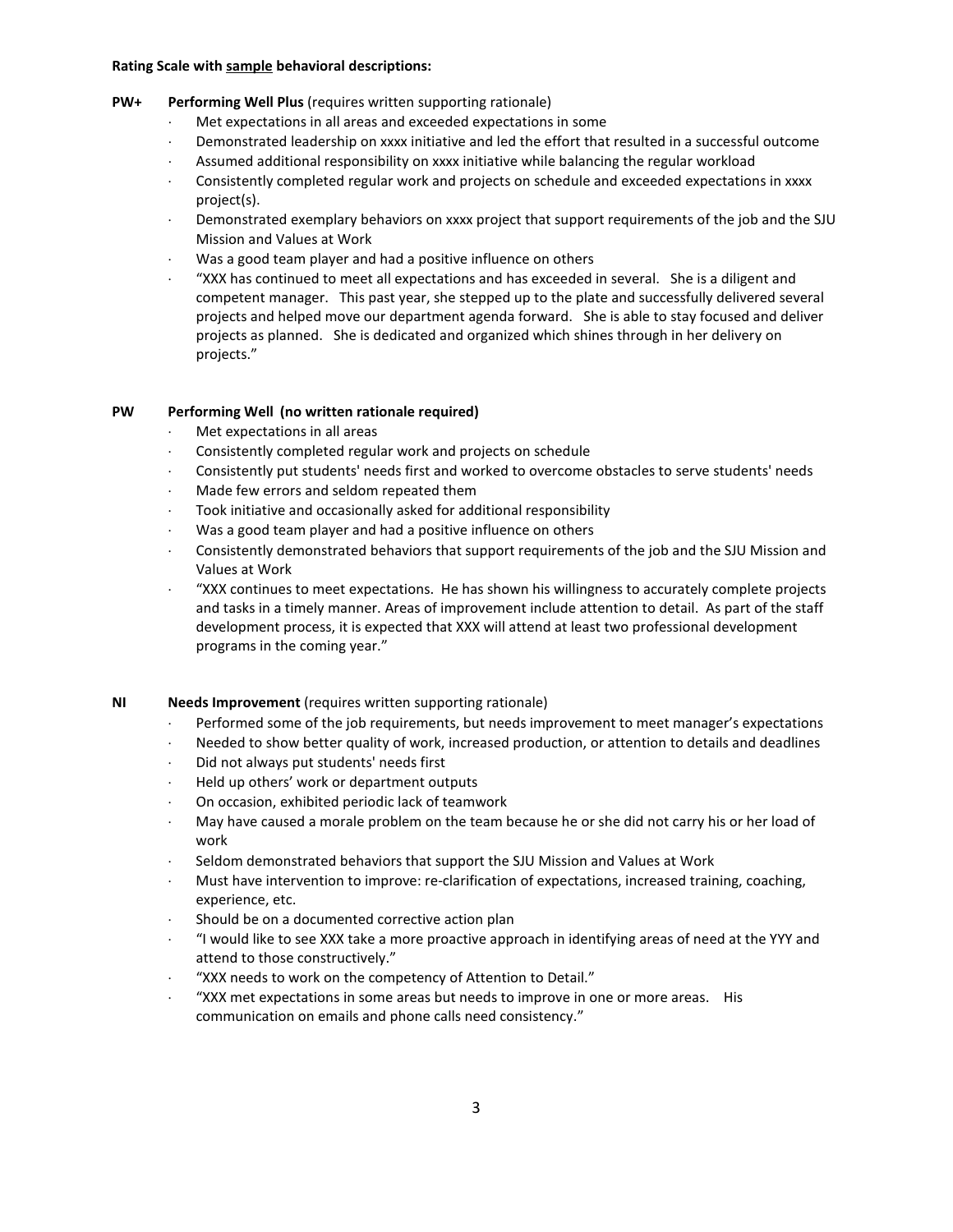## **Rating Scale with sample behavioral descriptions:**

# **PW+ Performing Well Plus** (requires written supporting rationale)

- Met expectations in all areas and exceeded expectations in some
- ⋅ Demonstrated leadership on xxxx initiative and led the effort that resulted in a successful outcome
- Assumed additional responsibility on xxxx initiative while balancing the regular workload
- Consistently completed regular work and projects on schedule and exceeded expectations in xxxx project(s).
- Demonstrated exemplary behaviors on xxxx project that support requirements of the job and the SJU Mission and Values at Work
- Was a good team player and had a positive influence on others
- ⋅ "XXX has continued to meet all expectations and has exceeded in several. She is a diligent and competent manager. This past year, she stepped up to the plate and successfully delivered several projects and helped move our department agenda forward. She is able to stay focused and deliver projects as planned. She is dedicated and organized which shines through in her delivery on projects."

# **PW Performing Well (no written rationale required)**

- Met expectations in all areas
- Consistently completed regular work and projects on schedule
- ⋅ Consistently put students' needs first and worked to overcome obstacles to serve students' needs
- Made few errors and seldom repeated them
- Took initiative and occasionally asked for additional responsibility
- Was a good team player and had a positive influence on others
- Consistently demonstrated behaviors that support requirements of the job and the SJU Mission and Values at Work
- ⋅ "XXX continues to meet expectations. He has shown his willingness to accurately complete projects and tasks in a timely manner. Areas of improvement include attention to detail. As part of the staff development process, it is expected that XXX will attend at least two professional development programs in the coming year."

# **NI Needs Improvement** (requires written supporting rationale)

- Performed some of the job requirements, but needs improvement to meet manager's expectations
- ⋅ Needed to show better quality of work, increased production, or attention to details and deadlines
- Did not always put students' needs first
- ⋅ Held up others' work or department outputs
- On occasion, exhibited periodic lack of teamwork
- ⋅ May have caused a morale problem on the team because he or she did not carry his or her load of work
- Seldom demonstrated behaviors that support the SJU Mission and Values at Work
- Must have intervention to improve: re-clarification of expectations, increased training, coaching, experience, etc.
- Should be on a documented corrective action plan
- ⋅ "I would like to see XXX take a more proactive approach in identifying areas of need at the YYY and attend to those constructively."
- "XXX needs to work on the competency of Attention to Detail."
- ⋅ "XXX met expectations in some areas but needs to improve in one or more areas. His communication on emails and phone calls need consistency."